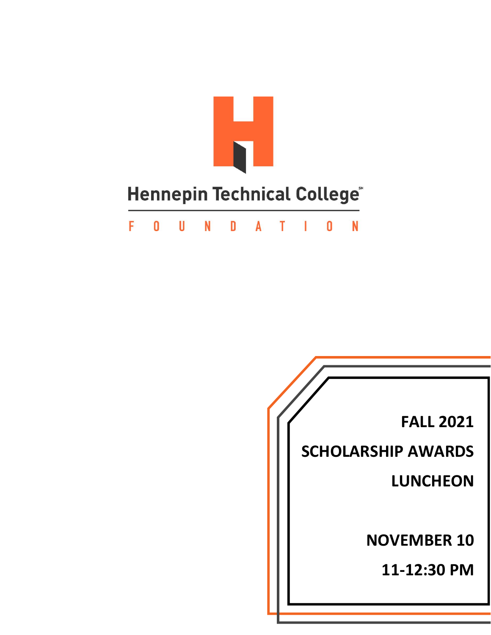

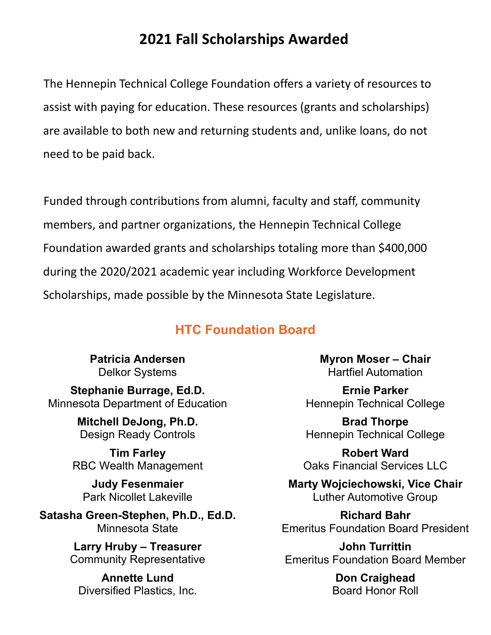# **2021 Fall Scholarships Awarded**

The Hennepin Technical College Foundation offers a variety of resources to assist with paying for education. These resources (grants and scholarships) are available to both new and returning students and, unlike loans, do not need to be paid back.

Funded through contributions from alumni, faculty and staff, community members, and partner organizations, the Hennepin Technical College Foundation awarded grants and scholarships totaling more than \$400,000 during the 2020/2021 academic year including Workforce Development Scholarships, made possible by the Minnesota State Legislature.

### **HTC Foundation Board**

**Patricia Andersen** Delkor Systems 

**Stephanie Burrage, Ed.D.** Minnesota Department of Education

> **Mitchell DeJong, Ph.D.** Design Ready Controls

**Tim Farley** RBC Wealth Management

**Judy Fesenmaier** Park Nicollet Lakeville

**Satasha Green-Stephen, Ph.D., Ed.D.** Minnesota State

> **Larry Hruby – Treasurer** Community Representative

**Annette Lund** Diversified Plastics, Inc. **Myron Moser – Chair** Hartfiel Automation

**Ernie Parker** Hennepin Technical College

**Brad Thorpe** Hennepin Technical College

**Robert Ward** Oaks Financial Services LLC

**Marty Wojciechowski, Vice Chair** Luther Automotive Group

**Richard Bahr**  Emeritus Foundation Board President

**John Turrittin** Emeritus Foundation Board Member

> **Don Craighead**  Board Honor Roll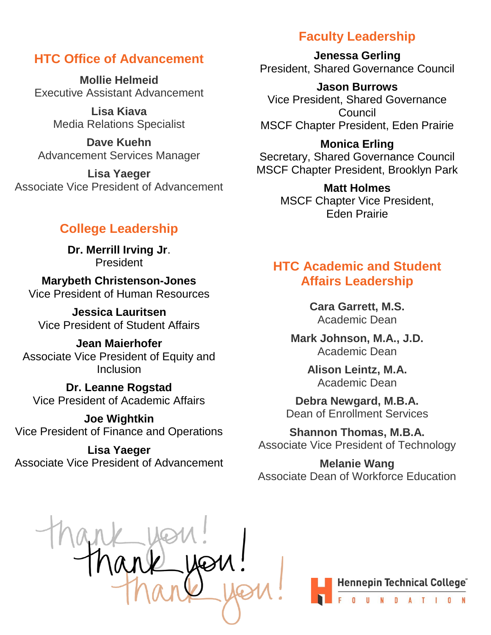#### **HTC Office of Advancement**

**Mollie Helmeid** Executive Assistant Advancement

> **Lisa Kiava** Media Relations Specialist

**Dave Kuehn** Advancement Services Manager

**Lisa Yaeger** Associate Vice President of Advancement

# **College Leadership**

**Dr. Merrill Irving Jr**. President

**Marybeth Christenson-Jones** Vice President of Human Resources

**Jessica Lauritsen** Vice President of Student Affairs

**Jean Maierhofer** Associate Vice President of Equity and Inclusion

**Dr. Leanne Rogstad** Vice President of Academic Affairs

**Joe Wightkin** Vice President of Finance and Operations

**Lisa Yaeger** Associate Vice President of Advancement

# **Faculty Leadership**

**Jenessa Gerling** President, Shared Governance Council

**Jason Burrows** Vice President, Shared Governance **Council** MSCF Chapter President, Eden Prairie

**Monica Erling** Secretary, Shared Governance Council MSCF Chapter President, Brooklyn Park

> **Matt Holmes** MSCF Chapter Vice President, Eden Prairie

### **HTC Academic and Student Affairs Leadership**

**Cara Garrett, M.S.** Academic Dean

**Mark Johnson, M.A., J.D.** Academic Dean

> **Alison Leintz, M.A.** Academic Dean

**Debra Newgard, M.B.A.** Dean of Enrollment Services

**Shannon Thomas, M.B.A.** Associate Vice President of Technology

**Melanie Wang** Associate Dean of Workforce Education

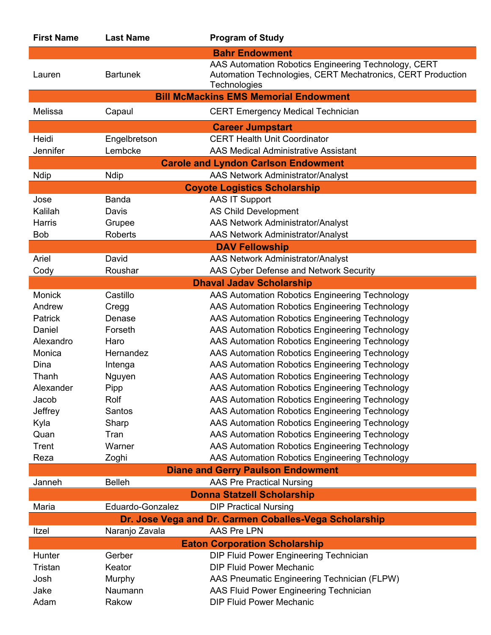| <b>First Name</b>                        | <b>Last Name</b> | <b>Program of Study</b>                                                                                                             |  |  |
|------------------------------------------|------------------|-------------------------------------------------------------------------------------------------------------------------------------|--|--|
|                                          |                  | <b>Bahr Endowment</b>                                                                                                               |  |  |
| Lauren                                   | <b>Bartunek</b>  | AAS Automation Robotics Engineering Technology, CERT<br>Automation Technologies, CERT Mechatronics, CERT Production<br>Technologies |  |  |
|                                          |                  | <b>Bill McMackins EMS Memorial Endowment</b>                                                                                        |  |  |
| Melissa                                  | Capaul           | <b>CERT Emergency Medical Technician</b>                                                                                            |  |  |
|                                          |                  | <b>Career Jumpstart</b>                                                                                                             |  |  |
| Heidi                                    | Engelbretson     | <b>CERT Health Unit Coordinator</b>                                                                                                 |  |  |
| Jennifer                                 | Lembcke          | <b>AAS Medical Administrative Assistant</b>                                                                                         |  |  |
|                                          |                  | <b>Carole and Lyndon Carlson Endowment</b>                                                                                          |  |  |
| <b>Ndip</b>                              | <b>Ndip</b>      | AAS Network Administrator/Analyst                                                                                                   |  |  |
|                                          |                  | <b>Coyote Logistics Scholarship</b>                                                                                                 |  |  |
| Jose                                     | Banda            | <b>AAS IT Support</b>                                                                                                               |  |  |
| Kalilah                                  | Davis            | <b>AS Child Development</b>                                                                                                         |  |  |
| Harris                                   | Grupee           | <b>AAS Network Administrator/Analyst</b>                                                                                            |  |  |
| <b>Bob</b>                               | <b>Roberts</b>   | <b>AAS Network Administrator/Analyst</b>                                                                                            |  |  |
|                                          |                  | <b>DAV Fellowship</b>                                                                                                               |  |  |
| Ariel                                    | David            | <b>AAS Network Administrator/Analyst</b>                                                                                            |  |  |
| Cody                                     | Roushar          | AAS Cyber Defense and Network Security                                                                                              |  |  |
|                                          |                  | <b>Dhaval Jadav Scholarship</b>                                                                                                     |  |  |
| <b>Monick</b>                            | Castillo         | AAS Automation Robotics Engineering Technology                                                                                      |  |  |
| Andrew                                   | Cregg            | AAS Automation Robotics Engineering Technology                                                                                      |  |  |
| Patrick                                  | Denase           | AAS Automation Robotics Engineering Technology                                                                                      |  |  |
| Daniel                                   | Forseth          | AAS Automation Robotics Engineering Technology                                                                                      |  |  |
| Alexandro                                | Haro             | AAS Automation Robotics Engineering Technology                                                                                      |  |  |
| Monica                                   | Hernandez        | AAS Automation Robotics Engineering Technology                                                                                      |  |  |
| Dina                                     | Intenga          | AAS Automation Robotics Engineering Technology                                                                                      |  |  |
| Thanh                                    | Nguyen           | AAS Automation Robotics Engineering Technology                                                                                      |  |  |
| Alexander                                | Pipp             | AAS Automation Robotics Engineering Technology                                                                                      |  |  |
| Jacob                                    | Rolf             | AAS Automation Robotics Engineering Technology                                                                                      |  |  |
| Jeffrey                                  | Santos           | AAS Automation Robotics Engineering Technology                                                                                      |  |  |
| Kyla                                     | Sharp            | AAS Automation Robotics Engineering Technology                                                                                      |  |  |
| Quan                                     | Tran             | AAS Automation Robotics Engineering Technology                                                                                      |  |  |
| Trent                                    | Warner           | AAS Automation Robotics Engineering Technology                                                                                      |  |  |
| Reza                                     | Zoghi            | AAS Automation Robotics Engineering Technology                                                                                      |  |  |
| <b>Diane and Gerry Paulson Endowment</b> |                  |                                                                                                                                     |  |  |
| Janneh                                   | <b>Belleh</b>    | <b>AAS Pre Practical Nursing</b>                                                                                                    |  |  |
| <b>Donna Statzell Scholarship</b>        |                  |                                                                                                                                     |  |  |
| Maria                                    | Eduardo-Gonzalez | <b>DIP Practical Nursing</b>                                                                                                        |  |  |
|                                          |                  | Dr. Jose Vega and Dr. Carmen Coballes-Vega Scholarship                                                                              |  |  |
| Itzel                                    | Naranjo Zavala   | <b>AAS Pre LPN</b>                                                                                                                  |  |  |
| <b>Eaton Corporation Scholarship</b>     |                  |                                                                                                                                     |  |  |
| Hunter                                   | Gerber           | DIP Fluid Power Engineering Technician                                                                                              |  |  |
| Tristan                                  | Keator           | <b>DIP Fluid Power Mechanic</b>                                                                                                     |  |  |
| Josh                                     | Murphy           | AAS Pneumatic Engineering Technician (FLPW)                                                                                         |  |  |
| Jake                                     | Naumann          | AAS Fluid Power Engineering Technician                                                                                              |  |  |
| Adam                                     | Rakow            | <b>DIP Fluid Power Mechanic</b>                                                                                                     |  |  |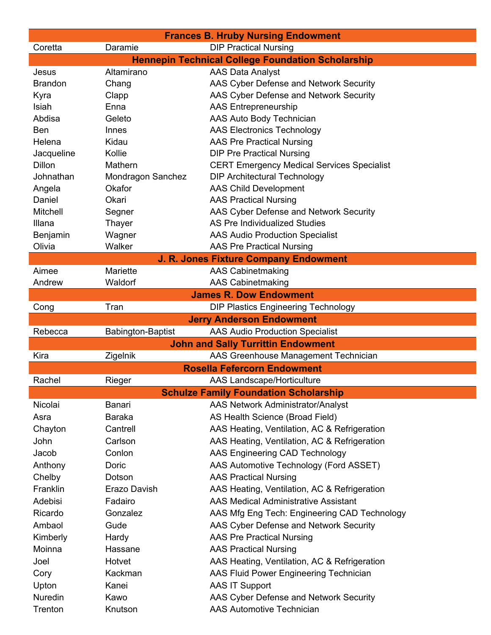| <b>DIP Practical Nursing</b><br>Coretta<br>Daramie<br><b>Hennepin Technical College Foundation Scholarship</b><br>Altamirano<br><b>AAS Data Analyst</b><br>Jesus<br>AAS Cyber Defense and Network Security<br><b>Brandon</b><br>Chang<br>AAS Cyber Defense and Network Security<br>Kyra<br>Clapp<br>Isiah<br><b>AAS Entrepreneurship</b><br>Enna<br><b>AAS Auto Body Technician</b><br>Abdisa<br>Geleto<br><b>AAS Electronics Technology</b><br>Ben<br>Innes<br><b>AAS Pre Practical Nursing</b><br>Helena<br>Kidau<br>Jacqueline<br>Kollie<br><b>DIP Pre Practical Nursing</b><br><b>Dillon</b><br>Mathern<br><b>CERT Emergency Medical Services Specialist</b><br><b>DIP Architectural Technology</b><br>Johnathan<br>Mondragon Sanchez<br><b>AAS Child Development</b><br>Okafor<br>Angela<br>Daniel<br>Okari<br><b>AAS Practical Nursing</b><br>Mitchell<br>AAS Cyber Defense and Network Security<br>Segner<br>AS Pre Individualized Studies<br>Illana<br>Thayer<br>Wagner<br>Benjamin<br><b>AAS Audio Production Specialist</b><br>Olivia<br>Walker<br><b>AAS Pre Practical Nursing</b><br>J. R. Jones Fixture Company Endowment<br>Mariette<br><b>AAS Cabinetmaking</b><br>Aimee<br>Waldorf<br><b>AAS Cabinetmaking</b><br>Andrew<br><b>James R. Dow Endowment</b><br>Tran<br><b>DIP Plastics Engineering Technology</b><br>Cong<br><b>Jerry Anderson Endowment</b><br><b>AAS Audio Production Specialist</b><br>Rebecca<br><b>Babington-Baptist</b> |
|-------------------------------------------------------------------------------------------------------------------------------------------------------------------------------------------------------------------------------------------------------------------------------------------------------------------------------------------------------------------------------------------------------------------------------------------------------------------------------------------------------------------------------------------------------------------------------------------------------------------------------------------------------------------------------------------------------------------------------------------------------------------------------------------------------------------------------------------------------------------------------------------------------------------------------------------------------------------------------------------------------------------------------------------------------------------------------------------------------------------------------------------------------------------------------------------------------------------------------------------------------------------------------------------------------------------------------------------------------------------------------------------------------------------------------------------------------------|
|                                                                                                                                                                                                                                                                                                                                                                                                                                                                                                                                                                                                                                                                                                                                                                                                                                                                                                                                                                                                                                                                                                                                                                                                                                                                                                                                                                                                                                                             |
|                                                                                                                                                                                                                                                                                                                                                                                                                                                                                                                                                                                                                                                                                                                                                                                                                                                                                                                                                                                                                                                                                                                                                                                                                                                                                                                                                                                                                                                             |
|                                                                                                                                                                                                                                                                                                                                                                                                                                                                                                                                                                                                                                                                                                                                                                                                                                                                                                                                                                                                                                                                                                                                                                                                                                                                                                                                                                                                                                                             |
|                                                                                                                                                                                                                                                                                                                                                                                                                                                                                                                                                                                                                                                                                                                                                                                                                                                                                                                                                                                                                                                                                                                                                                                                                                                                                                                                                                                                                                                             |
|                                                                                                                                                                                                                                                                                                                                                                                                                                                                                                                                                                                                                                                                                                                                                                                                                                                                                                                                                                                                                                                                                                                                                                                                                                                                                                                                                                                                                                                             |
|                                                                                                                                                                                                                                                                                                                                                                                                                                                                                                                                                                                                                                                                                                                                                                                                                                                                                                                                                                                                                                                                                                                                                                                                                                                                                                                                                                                                                                                             |
|                                                                                                                                                                                                                                                                                                                                                                                                                                                                                                                                                                                                                                                                                                                                                                                                                                                                                                                                                                                                                                                                                                                                                                                                                                                                                                                                                                                                                                                             |
|                                                                                                                                                                                                                                                                                                                                                                                                                                                                                                                                                                                                                                                                                                                                                                                                                                                                                                                                                                                                                                                                                                                                                                                                                                                                                                                                                                                                                                                             |
|                                                                                                                                                                                                                                                                                                                                                                                                                                                                                                                                                                                                                                                                                                                                                                                                                                                                                                                                                                                                                                                                                                                                                                                                                                                                                                                                                                                                                                                             |
|                                                                                                                                                                                                                                                                                                                                                                                                                                                                                                                                                                                                                                                                                                                                                                                                                                                                                                                                                                                                                                                                                                                                                                                                                                                                                                                                                                                                                                                             |
|                                                                                                                                                                                                                                                                                                                                                                                                                                                                                                                                                                                                                                                                                                                                                                                                                                                                                                                                                                                                                                                                                                                                                                                                                                                                                                                                                                                                                                                             |
|                                                                                                                                                                                                                                                                                                                                                                                                                                                                                                                                                                                                                                                                                                                                                                                                                                                                                                                                                                                                                                                                                                                                                                                                                                                                                                                                                                                                                                                             |
|                                                                                                                                                                                                                                                                                                                                                                                                                                                                                                                                                                                                                                                                                                                                                                                                                                                                                                                                                                                                                                                                                                                                                                                                                                                                                                                                                                                                                                                             |
|                                                                                                                                                                                                                                                                                                                                                                                                                                                                                                                                                                                                                                                                                                                                                                                                                                                                                                                                                                                                                                                                                                                                                                                                                                                                                                                                                                                                                                                             |
|                                                                                                                                                                                                                                                                                                                                                                                                                                                                                                                                                                                                                                                                                                                                                                                                                                                                                                                                                                                                                                                                                                                                                                                                                                                                                                                                                                                                                                                             |
|                                                                                                                                                                                                                                                                                                                                                                                                                                                                                                                                                                                                                                                                                                                                                                                                                                                                                                                                                                                                                                                                                                                                                                                                                                                                                                                                                                                                                                                             |
|                                                                                                                                                                                                                                                                                                                                                                                                                                                                                                                                                                                                                                                                                                                                                                                                                                                                                                                                                                                                                                                                                                                                                                                                                                                                                                                                                                                                                                                             |
|                                                                                                                                                                                                                                                                                                                                                                                                                                                                                                                                                                                                                                                                                                                                                                                                                                                                                                                                                                                                                                                                                                                                                                                                                                                                                                                                                                                                                                                             |
|                                                                                                                                                                                                                                                                                                                                                                                                                                                                                                                                                                                                                                                                                                                                                                                                                                                                                                                                                                                                                                                                                                                                                                                                                                                                                                                                                                                                                                                             |
|                                                                                                                                                                                                                                                                                                                                                                                                                                                                                                                                                                                                                                                                                                                                                                                                                                                                                                                                                                                                                                                                                                                                                                                                                                                                                                                                                                                                                                                             |
|                                                                                                                                                                                                                                                                                                                                                                                                                                                                                                                                                                                                                                                                                                                                                                                                                                                                                                                                                                                                                                                                                                                                                                                                                                                                                                                                                                                                                                                             |
|                                                                                                                                                                                                                                                                                                                                                                                                                                                                                                                                                                                                                                                                                                                                                                                                                                                                                                                                                                                                                                                                                                                                                                                                                                                                                                                                                                                                                                                             |
|                                                                                                                                                                                                                                                                                                                                                                                                                                                                                                                                                                                                                                                                                                                                                                                                                                                                                                                                                                                                                                                                                                                                                                                                                                                                                                                                                                                                                                                             |
|                                                                                                                                                                                                                                                                                                                                                                                                                                                                                                                                                                                                                                                                                                                                                                                                                                                                                                                                                                                                                                                                                                                                                                                                                                                                                                                                                                                                                                                             |
|                                                                                                                                                                                                                                                                                                                                                                                                                                                                                                                                                                                                                                                                                                                                                                                                                                                                                                                                                                                                                                                                                                                                                                                                                                                                                                                                                                                                                                                             |
| <b>John and Sally Turrittin Endowment</b>                                                                                                                                                                                                                                                                                                                                                                                                                                                                                                                                                                                                                                                                                                                                                                                                                                                                                                                                                                                                                                                                                                                                                                                                                                                                                                                                                                                                                   |
| Kira<br>Zigelnik<br>AAS Greenhouse Management Technician<br><b>Rosella Fefercorn Endowment</b>                                                                                                                                                                                                                                                                                                                                                                                                                                                                                                                                                                                                                                                                                                                                                                                                                                                                                                                                                                                                                                                                                                                                                                                                                                                                                                                                                              |
|                                                                                                                                                                                                                                                                                                                                                                                                                                                                                                                                                                                                                                                                                                                                                                                                                                                                                                                                                                                                                                                                                                                                                                                                                                                                                                                                                                                                                                                             |
| Rachel<br>Rieger<br>AAS Landscape/Horticulture                                                                                                                                                                                                                                                                                                                                                                                                                                                                                                                                                                                                                                                                                                                                                                                                                                                                                                                                                                                                                                                                                                                                                                                                                                                                                                                                                                                                              |
| <b>Schulze Family Foundation Scholarship</b>                                                                                                                                                                                                                                                                                                                                                                                                                                                                                                                                                                                                                                                                                                                                                                                                                                                                                                                                                                                                                                                                                                                                                                                                                                                                                                                                                                                                                |
| <b>AAS Network Administrator/Analyst</b><br>Nicolai<br>Banari                                                                                                                                                                                                                                                                                                                                                                                                                                                                                                                                                                                                                                                                                                                                                                                                                                                                                                                                                                                                                                                                                                                                                                                                                                                                                                                                                                                               |
| AS Health Science (Broad Field)<br>Asra<br>Baraka                                                                                                                                                                                                                                                                                                                                                                                                                                                                                                                                                                                                                                                                                                                                                                                                                                                                                                                                                                                                                                                                                                                                                                                                                                                                                                                                                                                                           |
| AAS Heating, Ventilation, AC & Refrigeration<br>Chayton<br>Cantrell                                                                                                                                                                                                                                                                                                                                                                                                                                                                                                                                                                                                                                                                                                                                                                                                                                                                                                                                                                                                                                                                                                                                                                                                                                                                                                                                                                                         |
| AAS Heating, Ventilation, AC & Refrigeration<br>John<br>Carlson                                                                                                                                                                                                                                                                                                                                                                                                                                                                                                                                                                                                                                                                                                                                                                                                                                                                                                                                                                                                                                                                                                                                                                                                                                                                                                                                                                                             |
| AAS Engineering CAD Technology<br>Jacob<br>Conlon                                                                                                                                                                                                                                                                                                                                                                                                                                                                                                                                                                                                                                                                                                                                                                                                                                                                                                                                                                                                                                                                                                                                                                                                                                                                                                                                                                                                           |
| AAS Automotive Technology (Ford ASSET)<br>Anthony<br>Doric                                                                                                                                                                                                                                                                                                                                                                                                                                                                                                                                                                                                                                                                                                                                                                                                                                                                                                                                                                                                                                                                                                                                                                                                                                                                                                                                                                                                  |
| Chelby<br><b>AAS Practical Nursing</b><br>Dotson                                                                                                                                                                                                                                                                                                                                                                                                                                                                                                                                                                                                                                                                                                                                                                                                                                                                                                                                                                                                                                                                                                                                                                                                                                                                                                                                                                                                            |
| Franklin<br>Erazo Davish<br>AAS Heating, Ventilation, AC & Refrigeration                                                                                                                                                                                                                                                                                                                                                                                                                                                                                                                                                                                                                                                                                                                                                                                                                                                                                                                                                                                                                                                                                                                                                                                                                                                                                                                                                                                    |
| Adebisi<br><b>AAS Medical Administrative Assistant</b><br>Fadairo                                                                                                                                                                                                                                                                                                                                                                                                                                                                                                                                                                                                                                                                                                                                                                                                                                                                                                                                                                                                                                                                                                                                                                                                                                                                                                                                                                                           |
| AAS Mfg Eng Tech: Engineering CAD Technology<br>Ricardo<br>Gonzalez                                                                                                                                                                                                                                                                                                                                                                                                                                                                                                                                                                                                                                                                                                                                                                                                                                                                                                                                                                                                                                                                                                                                                                                                                                                                                                                                                                                         |
| Ambaol<br>Gude<br>AAS Cyber Defense and Network Security                                                                                                                                                                                                                                                                                                                                                                                                                                                                                                                                                                                                                                                                                                                                                                                                                                                                                                                                                                                                                                                                                                                                                                                                                                                                                                                                                                                                    |
| Kimberly<br><b>AAS Pre Practical Nursing</b><br>Hardy                                                                                                                                                                                                                                                                                                                                                                                                                                                                                                                                                                                                                                                                                                                                                                                                                                                                                                                                                                                                                                                                                                                                                                                                                                                                                                                                                                                                       |
| Moinna<br><b>AAS Practical Nursing</b><br>Hassane                                                                                                                                                                                                                                                                                                                                                                                                                                                                                                                                                                                                                                                                                                                                                                                                                                                                                                                                                                                                                                                                                                                                                                                                                                                                                                                                                                                                           |
| AAS Heating, Ventilation, AC & Refrigeration<br>Hotvet<br>Joel                                                                                                                                                                                                                                                                                                                                                                                                                                                                                                                                                                                                                                                                                                                                                                                                                                                                                                                                                                                                                                                                                                                                                                                                                                                                                                                                                                                              |
| Kackman<br>AAS Fluid Power Engineering Technician<br>Cory                                                                                                                                                                                                                                                                                                                                                                                                                                                                                                                                                                                                                                                                                                                                                                                                                                                                                                                                                                                                                                                                                                                                                                                                                                                                                                                                                                                                   |
| <b>AAS IT Support</b><br>Upton<br>Kanei                                                                                                                                                                                                                                                                                                                                                                                                                                                                                                                                                                                                                                                                                                                                                                                                                                                                                                                                                                                                                                                                                                                                                                                                                                                                                                                                                                                                                     |
| AAS Cyber Defense and Network Security<br>Nuredin<br>Kawo                                                                                                                                                                                                                                                                                                                                                                                                                                                                                                                                                                                                                                                                                                                                                                                                                                                                                                                                                                                                                                                                                                                                                                                                                                                                                                                                                                                                   |
| Trenton<br><b>AAS Automotive Technician</b><br>Knutson                                                                                                                                                                                                                                                                                                                                                                                                                                                                                                                                                                                                                                                                                                                                                                                                                                                                                                                                                                                                                                                                                                                                                                                                                                                                                                                                                                                                      |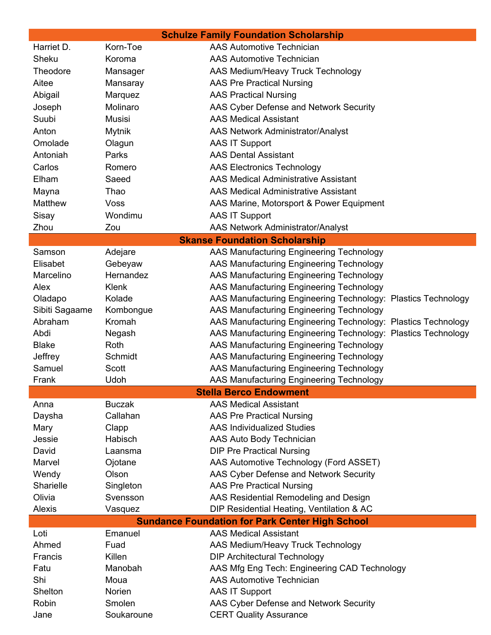| Korn-Toe<br><b>AAS Automotive Technician</b><br>Harriet D.<br>Sheku<br><b>AAS Automotive Technician</b><br>Koroma<br>Theodore<br>AAS Medium/Heavy Truck Technology<br>Mansager<br>Aitee<br><b>AAS Pre Practical Nursing</b><br>Mansaray<br><b>AAS Practical Nursing</b><br>Abigail<br>Marquez<br>Molinaro<br>AAS Cyber Defense and Network Security<br>Joseph<br>Suubi<br><b>Musisi</b><br><b>AAS Medical Assistant</b><br>Anton<br><b>Mytnik</b><br><b>AAS Network Administrator/Analyst</b><br>Omolade<br>Olagun<br><b>AAS IT Support</b><br><b>AAS Dental Assistant</b><br>Antoniah<br>Parks<br>Carlos<br><b>AAS Electronics Technology</b><br>Romero<br>Elham<br>Saeed<br><b>AAS Medical Administrative Assistant</b><br><b>AAS Medical Administrative Assistant</b><br>Mayna<br>Thao<br>Matthew<br>Voss<br>AAS Marine, Motorsport & Power Equipment<br>Sisay<br>Wondimu<br><b>AAS IT Support</b><br><b>AAS Network Administrator/Analyst</b><br>Zhou<br>Zou<br><b>Skanse Foundation Scholarship</b><br>AAS Manufacturing Engineering Technology<br>Samson<br>Adejare<br>Elisabet<br>Gebeyaw<br>AAS Manufacturing Engineering Technology<br>Hernandez<br>AAS Manufacturing Engineering Technology<br>Marcelino<br>AAS Manufacturing Engineering Technology<br>Alex<br>Klenk<br>Kolade<br>AAS Manufacturing Engineering Technology: Plastics Technology<br>Oladapo<br>Sibiti Sagaame<br>Kombongue<br>AAS Manufacturing Engineering Technology<br>AAS Manufacturing Engineering Technology: Plastics Technology<br>Abraham<br>Kromah<br>Abdi<br>AAS Manufacturing Engineering Technology: Plastics Technology<br>Negash<br>AAS Manufacturing Engineering Technology<br><b>Blake</b><br>Roth<br>AAS Manufacturing Engineering Technology<br>Jeffrey<br>Schmidt<br>Samuel<br>AAS Manufacturing Engineering Technology<br>Scott<br>AAS Manufacturing Engineering Technology<br>Udoh<br>Frank<br><b>Stella Berco Endowment</b><br><b>AAS Medical Assistant</b><br><b>Buczak</b><br>Anna<br>Callahan<br><b>AAS Pre Practical Nursing</b><br>Daysha<br><b>AAS Individualized Studies</b><br>Clapp<br>Mary<br>Jessie<br>Habisch<br>AAS Auto Body Technician<br><b>DIP Pre Practical Nursing</b><br>David<br>Laansma<br>Marvel<br>AAS Automotive Technology (Ford ASSET)<br>Ojotane<br>AAS Cyber Defense and Network Security<br>Wendy<br>Olson<br>Sharielle<br><b>AAS Pre Practical Nursing</b><br>Singleton<br>Olivia<br>Svensson<br>AAS Residential Remodeling and Design | <b>Schulze Family Foundation Scholarship</b> |            |                                           |  |  |
|------------------------------------------------------------------------------------------------------------------------------------------------------------------------------------------------------------------------------------------------------------------------------------------------------------------------------------------------------------------------------------------------------------------------------------------------------------------------------------------------------------------------------------------------------------------------------------------------------------------------------------------------------------------------------------------------------------------------------------------------------------------------------------------------------------------------------------------------------------------------------------------------------------------------------------------------------------------------------------------------------------------------------------------------------------------------------------------------------------------------------------------------------------------------------------------------------------------------------------------------------------------------------------------------------------------------------------------------------------------------------------------------------------------------------------------------------------------------------------------------------------------------------------------------------------------------------------------------------------------------------------------------------------------------------------------------------------------------------------------------------------------------------------------------------------------------------------------------------------------------------------------------------------------------------------------------------------------------------------------------------------------------------------------------------------------------------------------------------------------------------------------------------------------------------------------------------------------------------------------------------------------------------------------------------------------------------------------------------------------------------------------------------------------------------------------------------------------------|----------------------------------------------|------------|-------------------------------------------|--|--|
|                                                                                                                                                                                                                                                                                                                                                                                                                                                                                                                                                                                                                                                                                                                                                                                                                                                                                                                                                                                                                                                                                                                                                                                                                                                                                                                                                                                                                                                                                                                                                                                                                                                                                                                                                                                                                                                                                                                                                                                                                                                                                                                                                                                                                                                                                                                                                                                                                                                                        |                                              |            |                                           |  |  |
|                                                                                                                                                                                                                                                                                                                                                                                                                                                                                                                                                                                                                                                                                                                                                                                                                                                                                                                                                                                                                                                                                                                                                                                                                                                                                                                                                                                                                                                                                                                                                                                                                                                                                                                                                                                                                                                                                                                                                                                                                                                                                                                                                                                                                                                                                                                                                                                                                                                                        |                                              |            |                                           |  |  |
|                                                                                                                                                                                                                                                                                                                                                                                                                                                                                                                                                                                                                                                                                                                                                                                                                                                                                                                                                                                                                                                                                                                                                                                                                                                                                                                                                                                                                                                                                                                                                                                                                                                                                                                                                                                                                                                                                                                                                                                                                                                                                                                                                                                                                                                                                                                                                                                                                                                                        |                                              |            |                                           |  |  |
|                                                                                                                                                                                                                                                                                                                                                                                                                                                                                                                                                                                                                                                                                                                                                                                                                                                                                                                                                                                                                                                                                                                                                                                                                                                                                                                                                                                                                                                                                                                                                                                                                                                                                                                                                                                                                                                                                                                                                                                                                                                                                                                                                                                                                                                                                                                                                                                                                                                                        |                                              |            |                                           |  |  |
|                                                                                                                                                                                                                                                                                                                                                                                                                                                                                                                                                                                                                                                                                                                                                                                                                                                                                                                                                                                                                                                                                                                                                                                                                                                                                                                                                                                                                                                                                                                                                                                                                                                                                                                                                                                                                                                                                                                                                                                                                                                                                                                                                                                                                                                                                                                                                                                                                                                                        |                                              |            |                                           |  |  |
|                                                                                                                                                                                                                                                                                                                                                                                                                                                                                                                                                                                                                                                                                                                                                                                                                                                                                                                                                                                                                                                                                                                                                                                                                                                                                                                                                                                                                                                                                                                                                                                                                                                                                                                                                                                                                                                                                                                                                                                                                                                                                                                                                                                                                                                                                                                                                                                                                                                                        |                                              |            |                                           |  |  |
|                                                                                                                                                                                                                                                                                                                                                                                                                                                                                                                                                                                                                                                                                                                                                                                                                                                                                                                                                                                                                                                                                                                                                                                                                                                                                                                                                                                                                                                                                                                                                                                                                                                                                                                                                                                                                                                                                                                                                                                                                                                                                                                                                                                                                                                                                                                                                                                                                                                                        |                                              |            |                                           |  |  |
|                                                                                                                                                                                                                                                                                                                                                                                                                                                                                                                                                                                                                                                                                                                                                                                                                                                                                                                                                                                                                                                                                                                                                                                                                                                                                                                                                                                                                                                                                                                                                                                                                                                                                                                                                                                                                                                                                                                                                                                                                                                                                                                                                                                                                                                                                                                                                                                                                                                                        |                                              |            |                                           |  |  |
|                                                                                                                                                                                                                                                                                                                                                                                                                                                                                                                                                                                                                                                                                                                                                                                                                                                                                                                                                                                                                                                                                                                                                                                                                                                                                                                                                                                                                                                                                                                                                                                                                                                                                                                                                                                                                                                                                                                                                                                                                                                                                                                                                                                                                                                                                                                                                                                                                                                                        |                                              |            |                                           |  |  |
|                                                                                                                                                                                                                                                                                                                                                                                                                                                                                                                                                                                                                                                                                                                                                                                                                                                                                                                                                                                                                                                                                                                                                                                                                                                                                                                                                                                                                                                                                                                                                                                                                                                                                                                                                                                                                                                                                                                                                                                                                                                                                                                                                                                                                                                                                                                                                                                                                                                                        |                                              |            |                                           |  |  |
|                                                                                                                                                                                                                                                                                                                                                                                                                                                                                                                                                                                                                                                                                                                                                                                                                                                                                                                                                                                                                                                                                                                                                                                                                                                                                                                                                                                                                                                                                                                                                                                                                                                                                                                                                                                                                                                                                                                                                                                                                                                                                                                                                                                                                                                                                                                                                                                                                                                                        |                                              |            |                                           |  |  |
|                                                                                                                                                                                                                                                                                                                                                                                                                                                                                                                                                                                                                                                                                                                                                                                                                                                                                                                                                                                                                                                                                                                                                                                                                                                                                                                                                                                                                                                                                                                                                                                                                                                                                                                                                                                                                                                                                                                                                                                                                                                                                                                                                                                                                                                                                                                                                                                                                                                                        |                                              |            |                                           |  |  |
|                                                                                                                                                                                                                                                                                                                                                                                                                                                                                                                                                                                                                                                                                                                                                                                                                                                                                                                                                                                                                                                                                                                                                                                                                                                                                                                                                                                                                                                                                                                                                                                                                                                                                                                                                                                                                                                                                                                                                                                                                                                                                                                                                                                                                                                                                                                                                                                                                                                                        |                                              |            |                                           |  |  |
|                                                                                                                                                                                                                                                                                                                                                                                                                                                                                                                                                                                                                                                                                                                                                                                                                                                                                                                                                                                                                                                                                                                                                                                                                                                                                                                                                                                                                                                                                                                                                                                                                                                                                                                                                                                                                                                                                                                                                                                                                                                                                                                                                                                                                                                                                                                                                                                                                                                                        |                                              |            |                                           |  |  |
|                                                                                                                                                                                                                                                                                                                                                                                                                                                                                                                                                                                                                                                                                                                                                                                                                                                                                                                                                                                                                                                                                                                                                                                                                                                                                                                                                                                                                                                                                                                                                                                                                                                                                                                                                                                                                                                                                                                                                                                                                                                                                                                                                                                                                                                                                                                                                                                                                                                                        |                                              |            |                                           |  |  |
|                                                                                                                                                                                                                                                                                                                                                                                                                                                                                                                                                                                                                                                                                                                                                                                                                                                                                                                                                                                                                                                                                                                                                                                                                                                                                                                                                                                                                                                                                                                                                                                                                                                                                                                                                                                                                                                                                                                                                                                                                                                                                                                                                                                                                                                                                                                                                                                                                                                                        |                                              |            |                                           |  |  |
|                                                                                                                                                                                                                                                                                                                                                                                                                                                                                                                                                                                                                                                                                                                                                                                                                                                                                                                                                                                                                                                                                                                                                                                                                                                                                                                                                                                                                                                                                                                                                                                                                                                                                                                                                                                                                                                                                                                                                                                                                                                                                                                                                                                                                                                                                                                                                                                                                                                                        |                                              |            |                                           |  |  |
|                                                                                                                                                                                                                                                                                                                                                                                                                                                                                                                                                                                                                                                                                                                                                                                                                                                                                                                                                                                                                                                                                                                                                                                                                                                                                                                                                                                                                                                                                                                                                                                                                                                                                                                                                                                                                                                                                                                                                                                                                                                                                                                                                                                                                                                                                                                                                                                                                                                                        |                                              |            |                                           |  |  |
|                                                                                                                                                                                                                                                                                                                                                                                                                                                                                                                                                                                                                                                                                                                                                                                                                                                                                                                                                                                                                                                                                                                                                                                                                                                                                                                                                                                                                                                                                                                                                                                                                                                                                                                                                                                                                                                                                                                                                                                                                                                                                                                                                                                                                                                                                                                                                                                                                                                                        |                                              |            |                                           |  |  |
|                                                                                                                                                                                                                                                                                                                                                                                                                                                                                                                                                                                                                                                                                                                                                                                                                                                                                                                                                                                                                                                                                                                                                                                                                                                                                                                                                                                                                                                                                                                                                                                                                                                                                                                                                                                                                                                                                                                                                                                                                                                                                                                                                                                                                                                                                                                                                                                                                                                                        |                                              |            |                                           |  |  |
|                                                                                                                                                                                                                                                                                                                                                                                                                                                                                                                                                                                                                                                                                                                                                                                                                                                                                                                                                                                                                                                                                                                                                                                                                                                                                                                                                                                                                                                                                                                                                                                                                                                                                                                                                                                                                                                                                                                                                                                                                                                                                                                                                                                                                                                                                                                                                                                                                                                                        |                                              |            |                                           |  |  |
|                                                                                                                                                                                                                                                                                                                                                                                                                                                                                                                                                                                                                                                                                                                                                                                                                                                                                                                                                                                                                                                                                                                                                                                                                                                                                                                                                                                                                                                                                                                                                                                                                                                                                                                                                                                                                                                                                                                                                                                                                                                                                                                                                                                                                                                                                                                                                                                                                                                                        |                                              |            |                                           |  |  |
|                                                                                                                                                                                                                                                                                                                                                                                                                                                                                                                                                                                                                                                                                                                                                                                                                                                                                                                                                                                                                                                                                                                                                                                                                                                                                                                                                                                                                                                                                                                                                                                                                                                                                                                                                                                                                                                                                                                                                                                                                                                                                                                                                                                                                                                                                                                                                                                                                                                                        |                                              |            |                                           |  |  |
|                                                                                                                                                                                                                                                                                                                                                                                                                                                                                                                                                                                                                                                                                                                                                                                                                                                                                                                                                                                                                                                                                                                                                                                                                                                                                                                                                                                                                                                                                                                                                                                                                                                                                                                                                                                                                                                                                                                                                                                                                                                                                                                                                                                                                                                                                                                                                                                                                                                                        |                                              |            |                                           |  |  |
|                                                                                                                                                                                                                                                                                                                                                                                                                                                                                                                                                                                                                                                                                                                                                                                                                                                                                                                                                                                                                                                                                                                                                                                                                                                                                                                                                                                                                                                                                                                                                                                                                                                                                                                                                                                                                                                                                                                                                                                                                                                                                                                                                                                                                                                                                                                                                                                                                                                                        |                                              |            |                                           |  |  |
|                                                                                                                                                                                                                                                                                                                                                                                                                                                                                                                                                                                                                                                                                                                                                                                                                                                                                                                                                                                                                                                                                                                                                                                                                                                                                                                                                                                                                                                                                                                                                                                                                                                                                                                                                                                                                                                                                                                                                                                                                                                                                                                                                                                                                                                                                                                                                                                                                                                                        |                                              |            |                                           |  |  |
|                                                                                                                                                                                                                                                                                                                                                                                                                                                                                                                                                                                                                                                                                                                                                                                                                                                                                                                                                                                                                                                                                                                                                                                                                                                                                                                                                                                                                                                                                                                                                                                                                                                                                                                                                                                                                                                                                                                                                                                                                                                                                                                                                                                                                                                                                                                                                                                                                                                                        |                                              |            |                                           |  |  |
|                                                                                                                                                                                                                                                                                                                                                                                                                                                                                                                                                                                                                                                                                                                                                                                                                                                                                                                                                                                                                                                                                                                                                                                                                                                                                                                                                                                                                                                                                                                                                                                                                                                                                                                                                                                                                                                                                                                                                                                                                                                                                                                                                                                                                                                                                                                                                                                                                                                                        |                                              |            |                                           |  |  |
|                                                                                                                                                                                                                                                                                                                                                                                                                                                                                                                                                                                                                                                                                                                                                                                                                                                                                                                                                                                                                                                                                                                                                                                                                                                                                                                                                                                                                                                                                                                                                                                                                                                                                                                                                                                                                                                                                                                                                                                                                                                                                                                                                                                                                                                                                                                                                                                                                                                                        |                                              |            |                                           |  |  |
|                                                                                                                                                                                                                                                                                                                                                                                                                                                                                                                                                                                                                                                                                                                                                                                                                                                                                                                                                                                                                                                                                                                                                                                                                                                                                                                                                                                                                                                                                                                                                                                                                                                                                                                                                                                                                                                                                                                                                                                                                                                                                                                                                                                                                                                                                                                                                                                                                                                                        |                                              |            |                                           |  |  |
|                                                                                                                                                                                                                                                                                                                                                                                                                                                                                                                                                                                                                                                                                                                                                                                                                                                                                                                                                                                                                                                                                                                                                                                                                                                                                                                                                                                                                                                                                                                                                                                                                                                                                                                                                                                                                                                                                                                                                                                                                                                                                                                                                                                                                                                                                                                                                                                                                                                                        |                                              |            |                                           |  |  |
|                                                                                                                                                                                                                                                                                                                                                                                                                                                                                                                                                                                                                                                                                                                                                                                                                                                                                                                                                                                                                                                                                                                                                                                                                                                                                                                                                                                                                                                                                                                                                                                                                                                                                                                                                                                                                                                                                                                                                                                                                                                                                                                                                                                                                                                                                                                                                                                                                                                                        |                                              |            |                                           |  |  |
|                                                                                                                                                                                                                                                                                                                                                                                                                                                                                                                                                                                                                                                                                                                                                                                                                                                                                                                                                                                                                                                                                                                                                                                                                                                                                                                                                                                                                                                                                                                                                                                                                                                                                                                                                                                                                                                                                                                                                                                                                                                                                                                                                                                                                                                                                                                                                                                                                                                                        |                                              |            |                                           |  |  |
|                                                                                                                                                                                                                                                                                                                                                                                                                                                                                                                                                                                                                                                                                                                                                                                                                                                                                                                                                                                                                                                                                                                                                                                                                                                                                                                                                                                                                                                                                                                                                                                                                                                                                                                                                                                                                                                                                                                                                                                                                                                                                                                                                                                                                                                                                                                                                                                                                                                                        |                                              |            |                                           |  |  |
|                                                                                                                                                                                                                                                                                                                                                                                                                                                                                                                                                                                                                                                                                                                                                                                                                                                                                                                                                                                                                                                                                                                                                                                                                                                                                                                                                                                                                                                                                                                                                                                                                                                                                                                                                                                                                                                                                                                                                                                                                                                                                                                                                                                                                                                                                                                                                                                                                                                                        |                                              |            |                                           |  |  |
|                                                                                                                                                                                                                                                                                                                                                                                                                                                                                                                                                                                                                                                                                                                                                                                                                                                                                                                                                                                                                                                                                                                                                                                                                                                                                                                                                                                                                                                                                                                                                                                                                                                                                                                                                                                                                                                                                                                                                                                                                                                                                                                                                                                                                                                                                                                                                                                                                                                                        |                                              |            |                                           |  |  |
|                                                                                                                                                                                                                                                                                                                                                                                                                                                                                                                                                                                                                                                                                                                                                                                                                                                                                                                                                                                                                                                                                                                                                                                                                                                                                                                                                                                                                                                                                                                                                                                                                                                                                                                                                                                                                                                                                                                                                                                                                                                                                                                                                                                                                                                                                                                                                                                                                                                                        |                                              |            |                                           |  |  |
|                                                                                                                                                                                                                                                                                                                                                                                                                                                                                                                                                                                                                                                                                                                                                                                                                                                                                                                                                                                                                                                                                                                                                                                                                                                                                                                                                                                                                                                                                                                                                                                                                                                                                                                                                                                                                                                                                                                                                                                                                                                                                                                                                                                                                                                                                                                                                                                                                                                                        |                                              |            |                                           |  |  |
|                                                                                                                                                                                                                                                                                                                                                                                                                                                                                                                                                                                                                                                                                                                                                                                                                                                                                                                                                                                                                                                                                                                                                                                                                                                                                                                                                                                                                                                                                                                                                                                                                                                                                                                                                                                                                                                                                                                                                                                                                                                                                                                                                                                                                                                                                                                                                                                                                                                                        | Alexis                                       | Vasquez    | DIP Residential Heating, Ventilation & AC |  |  |
| <b>Sundance Foundation for Park Center High School</b>                                                                                                                                                                                                                                                                                                                                                                                                                                                                                                                                                                                                                                                                                                                                                                                                                                                                                                                                                                                                                                                                                                                                                                                                                                                                                                                                                                                                                                                                                                                                                                                                                                                                                                                                                                                                                                                                                                                                                                                                                                                                                                                                                                                                                                                                                                                                                                                                                 |                                              |            |                                           |  |  |
| Emanuel<br><b>AAS Medical Assistant</b><br>Loti                                                                                                                                                                                                                                                                                                                                                                                                                                                                                                                                                                                                                                                                                                                                                                                                                                                                                                                                                                                                                                                                                                                                                                                                                                                                                                                                                                                                                                                                                                                                                                                                                                                                                                                                                                                                                                                                                                                                                                                                                                                                                                                                                                                                                                                                                                                                                                                                                        |                                              |            |                                           |  |  |
| Ahmed<br>Fuad<br>AAS Medium/Heavy Truck Technology                                                                                                                                                                                                                                                                                                                                                                                                                                                                                                                                                                                                                                                                                                                                                                                                                                                                                                                                                                                                                                                                                                                                                                                                                                                                                                                                                                                                                                                                                                                                                                                                                                                                                                                                                                                                                                                                                                                                                                                                                                                                                                                                                                                                                                                                                                                                                                                                                     |                                              |            |                                           |  |  |
| Killen<br><b>DIP Architectural Technology</b><br>Francis                                                                                                                                                                                                                                                                                                                                                                                                                                                                                                                                                                                                                                                                                                                                                                                                                                                                                                                                                                                                                                                                                                                                                                                                                                                                                                                                                                                                                                                                                                                                                                                                                                                                                                                                                                                                                                                                                                                                                                                                                                                                                                                                                                                                                                                                                                                                                                                                               |                                              |            |                                           |  |  |
| Manobah<br>AAS Mfg Eng Tech: Engineering CAD Technology<br>Fatu                                                                                                                                                                                                                                                                                                                                                                                                                                                                                                                                                                                                                                                                                                                                                                                                                                                                                                                                                                                                                                                                                                                                                                                                                                                                                                                                                                                                                                                                                                                                                                                                                                                                                                                                                                                                                                                                                                                                                                                                                                                                                                                                                                                                                                                                                                                                                                                                        |                                              |            |                                           |  |  |
| Shi<br><b>AAS Automotive Technician</b><br>Moua                                                                                                                                                                                                                                                                                                                                                                                                                                                                                                                                                                                                                                                                                                                                                                                                                                                                                                                                                                                                                                                                                                                                                                                                                                                                                                                                                                                                                                                                                                                                                                                                                                                                                                                                                                                                                                                                                                                                                                                                                                                                                                                                                                                                                                                                                                                                                                                                                        |                                              |            |                                           |  |  |
| Shelton<br>Norien<br><b>AAS IT Support</b>                                                                                                                                                                                                                                                                                                                                                                                                                                                                                                                                                                                                                                                                                                                                                                                                                                                                                                                                                                                                                                                                                                                                                                                                                                                                                                                                                                                                                                                                                                                                                                                                                                                                                                                                                                                                                                                                                                                                                                                                                                                                                                                                                                                                                                                                                                                                                                                                                             |                                              |            |                                           |  |  |
| Robin<br>Smolen<br>AAS Cyber Defense and Network Security                                                                                                                                                                                                                                                                                                                                                                                                                                                                                                                                                                                                                                                                                                                                                                                                                                                                                                                                                                                                                                                                                                                                                                                                                                                                                                                                                                                                                                                                                                                                                                                                                                                                                                                                                                                                                                                                                                                                                                                                                                                                                                                                                                                                                                                                                                                                                                                                              |                                              |            |                                           |  |  |
|                                                                                                                                                                                                                                                                                                                                                                                                                                                                                                                                                                                                                                                                                                                                                                                                                                                                                                                                                                                                                                                                                                                                                                                                                                                                                                                                                                                                                                                                                                                                                                                                                                                                                                                                                                                                                                                                                                                                                                                                                                                                                                                                                                                                                                                                                                                                                                                                                                                                        | Jane                                         | Soukaroune | <b>CERT Quality Assurance</b>             |  |  |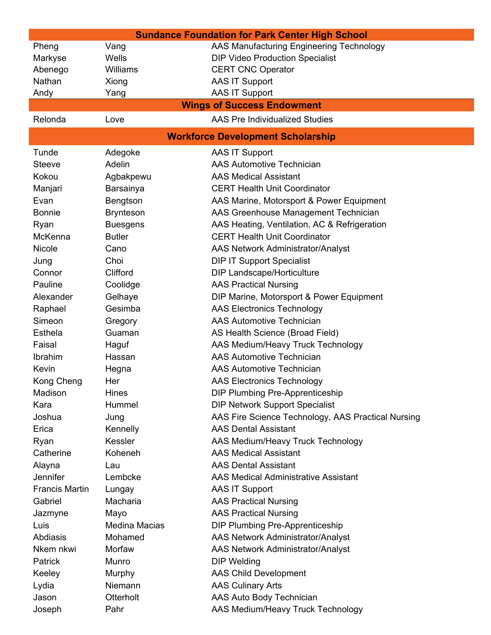| <b>Sundance Foundation for Park Center High School</b> |                      |                                                    |  |  |
|--------------------------------------------------------|----------------------|----------------------------------------------------|--|--|
| Pheng                                                  | Vang                 | AAS Manufacturing Engineering Technology           |  |  |
| Markyse                                                | Wells                | <b>DIP Video Production Specialist</b>             |  |  |
| Abenego                                                | Williams             | <b>CERT CNC Operator</b>                           |  |  |
| Nathan                                                 | Xiong                | <b>AAS IT Support</b>                              |  |  |
| Andy                                                   | Yang                 | <b>AAS IT Support</b>                              |  |  |
|                                                        |                      | <b>Wings of Success Endowment</b>                  |  |  |
| Relonda                                                | Love                 | <b>AAS Pre Individualized Studies</b>              |  |  |
| <b>Workforce Development Scholarship</b>               |                      |                                                    |  |  |
| Tunde                                                  | Adegoke              | <b>AAS IT Support</b>                              |  |  |
| <b>Steeve</b>                                          | Adelin               | <b>AAS Automotive Technician</b>                   |  |  |
| Kokou                                                  | Agbakpewu            | <b>AAS Medical Assistant</b>                       |  |  |
| Manjari                                                | Barsainya            | <b>CERT Health Unit Coordinator</b>                |  |  |
| Evan                                                   | Bengtson             | AAS Marine, Motorsport & Power Equipment           |  |  |
| <b>Bonnie</b>                                          | <b>Brynteson</b>     | AAS Greenhouse Management Technician               |  |  |
| Ryan                                                   | <b>Buesgens</b>      | AAS Heating, Ventilation, AC & Refrigeration       |  |  |
| McKenna                                                | <b>Butler</b>        | <b>CERT Health Unit Coordinator</b>                |  |  |
| Nicole                                                 | Cano                 | <b>AAS Network Administrator/Analyst</b>           |  |  |
| Jung                                                   | Choi                 | <b>DIP IT Support Specialist</b>                   |  |  |
| Connor                                                 | Clifford             | <b>DIP Landscape/Horticulture</b>                  |  |  |
| Pauline                                                | Coolidge             | <b>AAS Practical Nursing</b>                       |  |  |
| Alexander                                              | Gelhaye              | DIP Marine, Motorsport & Power Equipment           |  |  |
| Raphael                                                | Gesimba              | <b>AAS Electronics Technology</b>                  |  |  |
| Simeon                                                 | Gregory              | <b>AAS Automotive Technician</b>                   |  |  |
| Esthela                                                | Guaman               | AS Health Science (Broad Field)                    |  |  |
| Faisal                                                 | Haguf                | AAS Medium/Heavy Truck Technology                  |  |  |
| Ibrahim                                                | Hassan               | <b>AAS Automotive Technician</b>                   |  |  |
| Kevin                                                  | Hegna                | <b>AAS Automotive Technician</b>                   |  |  |
| Kong Cheng                                             | Her                  | <b>AAS Electronics Technology</b>                  |  |  |
| Madison                                                | Hines                | <b>DIP Plumbing Pre-Apprenticeship</b>             |  |  |
| Kara                                                   | Hummel               | <b>DIP Network Support Specialist</b>              |  |  |
| Joshua                                                 | Jung                 | AAS Fire Science Technology, AAS Practical Nursing |  |  |
| Erica                                                  | Kennelly             | <b>AAS Dental Assistant</b>                        |  |  |
| Ryan                                                   | Kessler              | AAS Medium/Heavy Truck Technology                  |  |  |
| Catherine                                              | Koheneh              | <b>AAS Medical Assistant</b>                       |  |  |
| Alayna                                                 | Lau                  | <b>AAS Dental Assistant</b>                        |  |  |
| Jennifer                                               | Lembcke              | <b>AAS Medical Administrative Assistant</b>        |  |  |
| <b>Francis Martin</b>                                  | Lungay               | <b>AAS IT Support</b>                              |  |  |
| Gabriel                                                | Macharia             | <b>AAS Practical Nursing</b>                       |  |  |
| Jazmyne                                                | Mayo                 | <b>AAS Practical Nursing</b>                       |  |  |
| Luis                                                   | <b>Medina Macias</b> | <b>DIP Plumbing Pre-Apprenticeship</b>             |  |  |
| Abdiasis                                               | Mohamed              | <b>AAS Network Administrator/Analyst</b>           |  |  |
| Nkem nkwi                                              | Morfaw               | <b>AAS Network Administrator/Analyst</b>           |  |  |
| <b>Patrick</b>                                         | Munro                | <b>DIP Welding</b>                                 |  |  |
| Keeley                                                 | Murphy               | <b>AAS Child Development</b>                       |  |  |
| Lydia                                                  | Niemann              | <b>AAS Culinary Arts</b>                           |  |  |
| Jason                                                  | Otterholt            | AAS Auto Body Technician                           |  |  |
| Joseph                                                 | Pahr                 | AAS Medium/Heavy Truck Technology                  |  |  |
|                                                        |                      |                                                    |  |  |